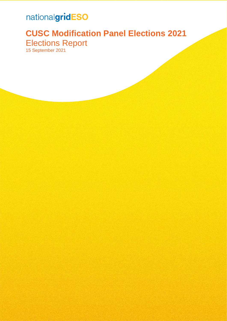# nationalgridESO

# **CUSC Modification Panel Elections 2021**  Elections Report

15 September 2021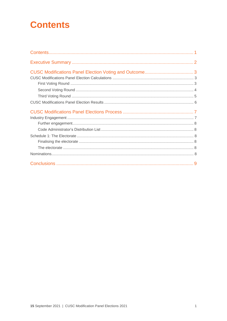# <span id="page-1-0"></span>**Contents**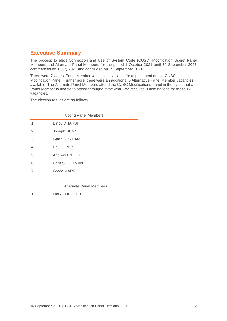### <span id="page-2-0"></span>**Executive Summary**

The process to elect Connection and Use of System Code (CUSC) Modification Users' Panel Members and Alternate Panel Members for the period 1 October 2021 until 30 September 2023 commenced on 1 July 2021 and concluded on 15 September 2021.

There were 7 Users' Panel Member vacancies available for appointment on the CUSC Modification Panel. Furthermore, there were an additional 5 Alternative Panel Member vacancies available. The Alternate Panel Members attend the CUSC Modifications Panel in the event that a Panel Member is unable to attend throughout the year. We received 8 nominations for these 12 vacancies.

The election results are as follows:

|                | <b>Voting Panel Members</b> |
|----------------|-----------------------------|
| 1              | <b>Binoy DHARSI</b>         |
| 2              | Joseph DUNN                 |
| 3              | <b>Garth GRAHAM</b>         |
| $\overline{4}$ | Paul JONES                  |
| 5              | Andrew ENZOR                |
| 6              | <b>Cem SULEYMAN</b>         |
| 7              | <b>Grace MARCH</b>          |
|                |                             |
|                | Alternate Panel Members     |
|                | <b>Mark DUFFIELD</b>        |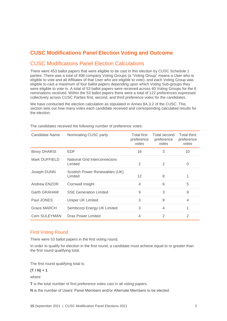# <span id="page-3-0"></span>**CUSC Modifications Panel Election Voting and Outcome**

# <span id="page-3-1"></span>CUSC Modifications Panel Election Calculations

There were 453 ballot papers that were eligible to be cast in this election by CUSC Schedule 1 parties. There was a total of 408 company Voting Groups (a "Voting Group" means a User who is eligible to vote and all Affiliates of that User who are eligible to vote), and each Voting Group was eligible to cast a maximum of four ballot papers depending upon which Voting Sub-groups they were eligible to vote in. A total of 53 ballot papers were received across 40 Voting Groups for the 8 nominations received. Within the 53 ballot papers there were a total of 122 preferences expressed collectively across CUSC Parties first, second, and third preference votes for the candidates.

We have conducted the election calculation as stipulated in Annex 8A.3.2 of the CUSC. This section sets out how many votes each candidate received and corresponding calculated results for the election.

| Candidate Name      | Nominating CUSC party                     | <b>Total first</b><br>preference<br>votes | Total second<br>preference<br>votes | Total third<br>preference<br>votes |
|---------------------|-------------------------------------------|-------------------------------------------|-------------------------------------|------------------------------------|
| <b>Binoy DHARSI</b> | EDF                                       | 16                                        | 3                                   | 10                                 |
| Mark DUFFIELD       | National Grid Interconnectors<br>Limited  | 2                                         | 2                                   | 0                                  |
| Joseph DUNN         | Scottish Power Renewables (UK)<br>Limited | $12 \overline{ }$                         | 8                                   | 1                                  |
| Andrew ENZOR        | Cornwall Insight                          | 4                                         | 6                                   | 5                                  |
| <b>Garth GRAHAM</b> | <b>SSE Generation Limited</b>             | 9                                         | 3                                   | 9                                  |
| Paul JONES          | <b>Uniper UK Limited</b>                  | 3                                         | 9                                   | 4                                  |
| Grace MARCH         | Sembcorp Energy UK Limited                | 3                                         | $\overline{4}$                      | 1                                  |
| Cem SULEYMAN        | Drax Power Limited                        | 4                                         | $\overline{2}$                      | $\overline{2}$                     |

The candidates received the following number of preference votes:

#### <span id="page-3-2"></span>First Voting Round

There were 53 ballot papers in the first voting round.

In order to qualify for election in the first round, a candidate must achieve equal to or greater than the first round qualifying total.

The first round qualifying total is:

 $(T / N) + 1$ 

where

**T** is the total number of first preference votes cast in all voting papers.

**N** is the number of Users' Panel Members and/or Alternate Members to be elected.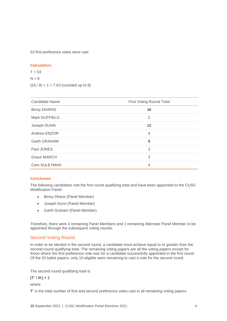53 first preference votes were cast

#### **Calculation:**

 $T = 53$  $N = 8$  $(53/8) + 1 = 7.63$  (rounded up to 8)

| Candidate Name      | <b>First Voting Round Total</b> |
|---------------------|---------------------------------|
| <b>Binoy DHARSI</b> | 16                              |
| Mark DUFFIELD       | 2                               |
| Joseph DUNN         | 12                              |
| Andrew ENZOR        | $\overline{4}$                  |
| <b>Garth GRAHAM</b> | 9                               |
| Paul JONES          | 3                               |
| <b>Grace MARCH</b>  | 3                               |
| Cem SULEYMAN        | 4                               |

#### **Conclusion**

The following candidates met the first round qualifying total and have been appointed to the CUSC Modification Panel:

- Binoy Dharsi (Panel Member)
- Joseph Dunn (Panel Member)
- Garth Graham (Panel Member)

Therefore, there were 4 remaining Panel Members and 1 remaining Alternate Panel Member to be appointed through the subsequent voting rounds.

#### <span id="page-4-0"></span>Second Voting Round

In order to be elected in the second round, a candidate must achieve equal to or greater than the second-round qualifying total. The remaining voting papers are all the voting papers except for those where the first preference vote was for a candidate successfully appointed in the first round. Of the 53 ballot papers, only 16 eligible were remaining to cast a vote for the second round.

The second round qualifying total is:

#### $(T'/N') + 1$

where

**T'** is the total number of first and second preference votes cast in all remaining voting papers.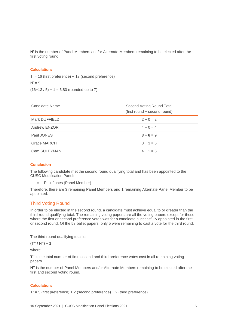**N'** is the number of Panel Members and/or Alternate Members remaining to be elected after the first voting round.

#### **Calculation:**

 $T' = 16$  (first preference) + 13 (second preference)  $N' = 5$ 

 $(16+13/5) + 1 = 6.80$  (rounded up to 7)

| Candidate Name | Second Voting Round Total<br>(first round + second round) |
|----------------|-----------------------------------------------------------|
| Mark DUFFIELD  | $2 + 0 = 2$                                               |
| Andrew ENZOR   | $4 + 0 = 4$                                               |
| Paul JONES     | $3 + 6 = 9$                                               |
| Grace MARCH    | $3 + 3 = 6$                                               |
| Cem SULEYMAN   | $4 + 1 = 5$                                               |

#### **Conclusion**

The following candidate met the second round qualifying total and has been appointed to the CUSC Modification Panel:

• Paul Jones (Panel Member)

Therefore, there are 3 remaining Panel Members and 1 remaining Alternate Panel Member to be appointed.

#### <span id="page-5-0"></span>Third Voting Round

In order to be elected in the second round, a candidate must achieve equal to or greater than the third-round qualifying total. The remaining voting papers are all the voting papers except for those where the first or second preference votes was for a candidate successfully appointed in the first or second round. Of the 53 ballet papers, only 5 were remaining to cast a vote for the third round.

The third round qualifying total is:

 $(T'' / N'') + 1$ 

where

**T"** is the total number of first, second and third preference votes cast in all remaining voting papers.

**N"** is the number of Panel Members and/or Alternate Members remaining to be elected after the first and second voting round.

#### **Calculation:**

 $T$ " = 5 (first preference) + 2 (second preference) + 2 (third preference)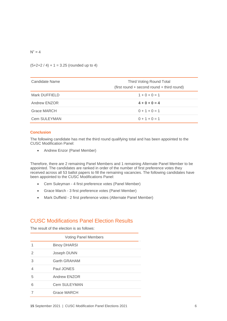$N'' = 4$ 

 $(5+2+2/4) + 1 = 3.25$  (rounded up to 4)

| Candidate Name | <b>Third Voting Round Total</b><br>$(first round + second round + third round)$ |
|----------------|---------------------------------------------------------------------------------|
| Mark DUFFIELD  | $1 + 0 + 0 = 1$                                                                 |
| Andrew ENZOR   | $4 + 0 + 0 = 4$                                                                 |
| Grace MARCH    | $0 + 1 + 0 = 1$                                                                 |
| Cem SULEYMAN   | $0 + 1 + 0 = 1$                                                                 |

#### **Conclusion**

The following candidate has met the third round qualifying total and has been appointed to the CUSC Modification Panel:

• Andrew Enzor (Panel Member)

Therefore, there are 2 remaining Panel Members and 1 remaining Alternate Panel Member to be appointed. The candidates are ranked in order of the number of first preference votes they received across all 53 ballot papers to fill the remaining vacancies. The following candidates have been appointed to the CUSC Modifications Panel:

- Cem Suleyman 4 first preference votes (Panel Member)
- Grace March 3 first preference votes (Panel Member)
- Mark Duffield 2 first preference votes (Alternate Panel Member)

### <span id="page-6-0"></span>CUSC Modifications Panel Election Results

The result of the election is as follows:

|                | <b>Voting Panel Members</b> |
|----------------|-----------------------------|
| 1              | <b>Binoy DHARSI</b>         |
| 2              | Joseph DUNN                 |
| 3              | <b>Garth GRAHAM</b>         |
| $\overline{4}$ | Paul JONES                  |
| 5              | Andrew ENZOR                |
| 6              | <b>Cem SULEYMAN</b>         |
|                | Grace MARCH                 |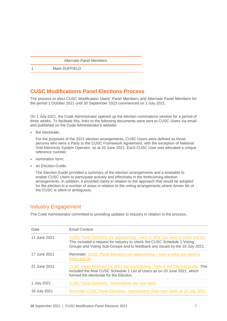1 Mark DUFFIELD

# <span id="page-7-0"></span>**CUSC Modifications Panel Elections Process**

The process to elect CUSC Modification Users' Panel Members and Alternate Panel Members for the period 1 October 2021 until 30 September 2023 commenced on 1 July 2021.

On 1 July 2021, the Code Administrator opened up the election nominations window for a period of three weeks. To facilitate this, links to the following documents were sent to CUSC Users via email and published on the Code Administrator's website:

• the electorate:

For the purposes of the 2021 election arrangements, CUSC Users were defined as those persons who were a Party to the CUSC Framework Agreement, with the exception of National Grid Electricity System Operator, as at 20 June 2021. Each CUSC User was allocated a unique reference number;

- nomination form:
- an Election Guide.

The Election Guide provided a summary of the election arrangements and a timetable to enable CUSC Users to participate actively and effectively in the forthcoming election arrangements. In addition, it provided clarity in relation to the approach that would be adopted for the election in a number of areas in relation to the voting arrangements where Annex 8A of the CUSC is silent or ambiguous.

# <span id="page-7-1"></span>Industry Engagement

The Code Administrator committed to providing updates to industry in relation to the process.

| Date         | <b>Email Content</b>                                                                                                                                                                                                                     |
|--------------|------------------------------------------------------------------------------------------------------------------------------------------------------------------------------------------------------------------------------------------|
| 11 June 2021 | CUSC Panel Elections are approaching – here is what you need to know and do.<br>This included a request for industry to check the CUSC Schedule 1 Voting<br>Groups and Voting Sub-Groups and to feedback any issues by the 18 July 2021. |
| 17 June 2021 | Reminder: CUSC Panel Elections are approaching – here is what you need to<br>know and do                                                                                                                                                 |
| 21 June 2021 | CUSC Panel Elections for 2021 are approaching - here is the Election Guide. This<br>included the final CUSC Schedule 1 List of Users as on 20 June 2021, which<br>formed the electorate for the Election.                                |
| 1 July 2021  | <b>CUSC Panel Elections - Nominations are now open</b>                                                                                                                                                                                   |
| 16 July 2021 | Reminder CUSC Panel Elections - Nominations close next week on 23 July 2021                                                                                                                                                              |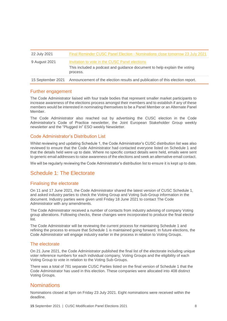| 22 July 2021      | Final Reminder CUSC Panel Election - Nominations close tomorrow 23 July 2021                                                           |
|-------------------|----------------------------------------------------------------------------------------------------------------------------------------|
| 9 August 2021     | Invitation to vote in the CUSC Panel elections<br>This included a podcast and guidance document to help explain the voting<br>process. |
| 15 September 2021 | Announcement of the election results and publication of this election report.                                                          |

#### <span id="page-8-0"></span>Further engagement

The Code Administrator liaised with four trade bodies that represent smaller market participants to increase awareness of the elections process amongst their members and to establish if any of these members would be interested in nominating themselves to be a Panel Member or an Alternate Panel Member.

The Code Administrator also reached out by advertising the CUSC election in the Code Administrator's Code of Practice newsletter, the Joint European Stakeholder Group weekly newsletter and the "Plugged In" ESO weekly Newsletter.

### <span id="page-8-1"></span>Code Administrator's Distribution List

Whilst reviewing and updating Schedule 1, the Code Administrator's CUSC distribution list was also reviewed to ensure that the Code Administrator had contacted everyone listed on Schedule 1 and that the details held were up to date. Where no specific contact details were held, emails were sent to generic email addresses to raise awareness of the elections and seek an alternative email contact.

We will be regularly reviewing the Code Administrator's distribution list to ensure it is kept up to date.

# <span id="page-8-2"></span>Schedule 1: The Electorate

#### <span id="page-8-3"></span>Finalising the electorate

On 11 and 17 June 2021, the Code Administrator shared the latest version of CUSC Schedule 1, and asked industry parties to check the Voting Group and Voting Sub-Group information in the document. Industry parties were given until Friday 18 June 2021 to contact The Code Administrator with any amendments.

The Code Administrator received a number of contacts from industry advising of company Voting group alterations. Following checks, these changes were incorporated to produce the final elector list.

The Code Administrator will be reviewing the current process for maintaining Schedule 1 and refining the process to ensure that Schedule 1 is maintained going forward. In future elections, the Code Administrator will engage industry earlier in the process in relation to Voting Groups.

#### <span id="page-8-4"></span>The electorate

On 21 June 2021, the Code Administrator published the final list of the electorate including unique voter reference numbers for each individual company, Voting Groups and the eligibility of each Voting Group to vote in relation to the Voting Sub-Groups.

There was a total of 781 separate CUSC Parties listed on the final version of Schedule 1 that the Code Administrator has used in this election. These companies were allocated into 408 distinct Voting Groups.

# <span id="page-8-5"></span>**Nominations**

Nominations closed at 5pm on Friday 23 July 2021. Eight nominations were received within the deadline.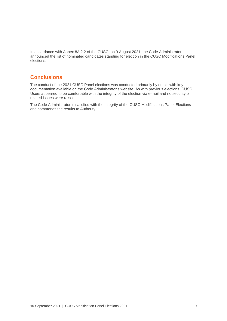In accordance with Annex 8A.2.2 of the CUSC, on 9 August 2021, the Code Administrator announced the list of nominated candidates standing for election in the CUSC Modifications Panel elections.

# <span id="page-9-0"></span>**Conclusions**

The conduct of the 2021 CUSC Panel elections was conducted primarily by email, with key documentation available on the Code Administrator's website. As with previous elections, CUSC Users appeared to be comfortable with the integrity of the election via e-mail and no security or related issues were raised.

The Code Administrator is satisfied with the integrity of the CUSC Modifications Panel Elections and commends the results to Authority.